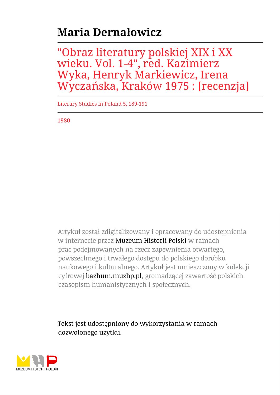## **Maria Dernałowicz**

"Obraz literatury polskiej XIX i XX wieku. Vol. 1-4", red. Kazimierz Wyka, Henryk Markiewicz, Irena Wyczańska, Kraków 1975 : [recenzja]

Literary Studies in Poland 5, 189-191

1980

Artykuł został zdigitalizowany i opracowany do udostępnienia w internecie przez Muzeum Historii Polski w ramach prac podejmowanych na rzecz zapewnienia otwartego, powszechnego i trwałego dostępu do polskiego dorobku naukowego i kulturalnego. Artykuł jest umieszczony w kolekcji cyfrowej bazhum.muzhp.pl, gromadzącej zawartość polskich czasopism humanistycznych i społecznych.

Tekst jest udostępniony do wykorzystania w ramach dozwolonego użytku.

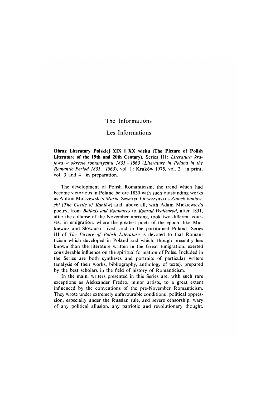## **The Informations**

## **Les Informations**

**Obraz Literatury Polskiej XIX i XX wieku (The Picture of Polish** Literature of the 19th and 20th Century), Series III: Literatura kra*jowa w okresie romantyzmu 1831 — 1863 (Literature in Poland in the Romantic Period 1831 — 1863),* **vol. 1: Kraków 1975, vol. 2 —in print, vol. 3 and 4 —in preparation.**

**The development of Polish Romanticism, the trend which had become victorious in Poland before 1830 with such outstanding works** as Antoni Malczewski's *Maria*, Seweryn Goszczyński's Zamek kaniow*ski* (*The Castle of Kaniów*) and, above all, with Adam Mickiewicz's **poetry, from** *Ballads and Romances* **to** *Konrad Wallenrod,* **after 1831, after the collapse of the November uprising, took two different cour**ses: in emigration, where the greatest poets of the epoch, like Mic**kiewicz and Słowacki, lived, and in the partitioned Poland. Series** III of *The Picture of Polish Literature* is devoted to that Roman**ticism which developed in Poland and which, though presently less known than the literature written in the Great Emigration, exerted considerable influence on the spiritual formation of Poles. Included in the Series are both syntheses and portraits of particular writers (analysis of their works, bibliography, anthology of texts), prepared by the best scholars in the field of history of Romanticism.**

**In the main, writers presented in this Series are, with such rare exceptions as Aleksander Fredro, minor artists, to a great extent influenced by the conventions of the pre-November Romanticism. They wrote under extremely unfavourable conditions: political oppression, especially under the Russian rule, and severe censorship, wary of any political allusion, any patriotic and revolutionary thought,**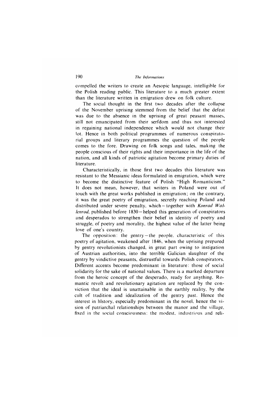**compelled the writers to create an Aesopic language, intelligible for the Polish reading public. This literature to a much greater extent** than the literature written in emigration drew on folk culture.

**The social thought in the first two decades after the collapse of the November uprising stemmed from the belief that the defeat** was due to the absence in the uprising of great peasant masses, **still not emancipated from their serfdom and thus not interested in regaining national independence which would not change their lot. Hence in both political programmes of numerous conspiratorial groups and literary programmes the question of the people comes to the fore. Drawing on folk songs and tales, making the** people conscious of their rights and their importance in the life of the **nation, and all kinds of patriotic agitation become primary duties of literature.**

**Characteristically, in those first two decades this literature was resistant to the Messianic ideas formulated in emigration, which were to become the distinctive feature of Polish "High Romanticism." It does not mean, however, that writers in Poland were out of touch with the great works published in emigration; on the contrary, it was the great poetry of emigration, secretly reaching Poland and distributed under severe penalty, which— together with** *Konrad Wallenrod,* **published before 1830 —helped this generation of conspirators and desperados to strengthen their belief in identity of poetry and struggle, of poetry and morality, the highest value of the latter being love of one's country.**

**The opposition: the gentry —the people, characteristic of this poetry of agitation, weakened after 1846, when the uprising prepared by gentry revolutionists changed, in great part owing to instigation of Austrian authorities, into the terrible Galician slaughter of the gentry by vindictive peasants, distrustful towards Polish conspirators. Different accents become predominant in literature: those of social solidarity for the sake of national values. There is a marked departure from the heroic concept of the desperado, ready for anything. R omantic revolt and revolutionary agitation are replaced by the conviction that the ideal is unattainable in the earthly reality, by the cult of tradition and idealization of the gentry past. Hence the interest in history, especially predominant in the novel, hence the vision of patriarchal relationships between the manor and the village, fixed in the social consciousness: the modest, industrious and reli**